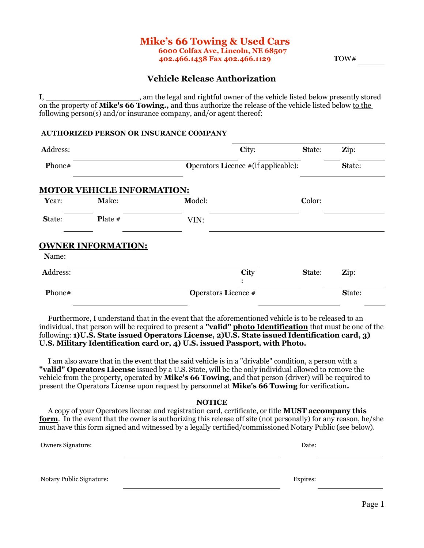### **Mike's 66 Towing & Used Cars 6000 Colfax Ave, Lincoln, NE 68507 402.466.1438 Fax 402.466.1129 T**OW**#**

# **Vehicle Release Authorization**

I, \_\_\_\_\_\_\_\_\_\_\_\_\_\_\_\_\_\_\_\_, am the legal and rightful owner of the vehicle listed below presently stored on the property of **Mike's 66 Towing.,** and thus authorize the release of the vehicle listed below to the following person(s) and/or insurance company, and/or agent thereof:

### **AUTHORIZED PERSON OR INSURANCE COMPANY**

| Address:      |                                   |                                                                                                                                                                                                                                                                                                                                                                                                  | City:                                       | State: | Zip:   |
|---------------|-----------------------------------|--------------------------------------------------------------------------------------------------------------------------------------------------------------------------------------------------------------------------------------------------------------------------------------------------------------------------------------------------------------------------------------------------|---------------------------------------------|--------|--------|
| <b>Phone#</b> |                                   |                                                                                                                                                                                                                                                                                                                                                                                                  | <b>Operators Licence #</b> (if applicable): |        | State: |
|               | <b>MOTOR VEHICLE INFORMATION:</b> |                                                                                                                                                                                                                                                                                                                                                                                                  |                                             |        |        |
| Year:         | Make:                             | Model:                                                                                                                                                                                                                                                                                                                                                                                           |                                             | Color: |        |
| State:        | <b>Plate</b> $#$                  | VIN:                                                                                                                                                                                                                                                                                                                                                                                             |                                             |        |        |
|               | <b>OWNER INFORMATION:</b>         |                                                                                                                                                                                                                                                                                                                                                                                                  |                                             |        |        |
| Name:         |                                   |                                                                                                                                                                                                                                                                                                                                                                                                  |                                             |        |        |
| Address:      |                                   |                                                                                                                                                                                                                                                                                                                                                                                                  | City                                        | State: | Zip:   |
| Phone#        |                                   | <b>Operators Licence</b> #                                                                                                                                                                                                                                                                                                                                                                       |                                             |        | State: |
|               |                                   | Furthermore, I understand that in the event that the aforementioned vehicle is to be released to an<br>individual, that person will be required to present a "valid" photo Identification that must be one of the<br>following: 1)U.S. State issued Operators License, 2)U.S. State issued Identification card, 3)<br>U.S. Military Identification card or, 4) U.S. issued Passport, with Photo. |                                             |        |        |
|               |                                   | I am also aware that in the event that the said vehicle is in a "drivable" condition, a person with a<br>"valid" Operators License issued by a U.S. State, will be the only individual allowed to remove the<br>vehicle from the property, operated by <b>Mike's 66 Towing</b> , and that person (driver) will be required to                                                                    |                                             |        |        |

vehicle from the property, operated by **Mike's 66 Towing**, and that person (driver) will be required to present the Operators License upon request by personnel at **Mike's 66 Towing** for verification**.**

#### **NOTICE**

 A copy of your Operators license and registration card, certificate, or title **MUST accompany this form.** In the event that the owner is authorizing this release off site (not personally) for any reason, he/she must have this form signed and witnessed by a legally certified/commissioned Notary Public (see below).

Owners Signature: Date:

Notary Public Signature: Expires: